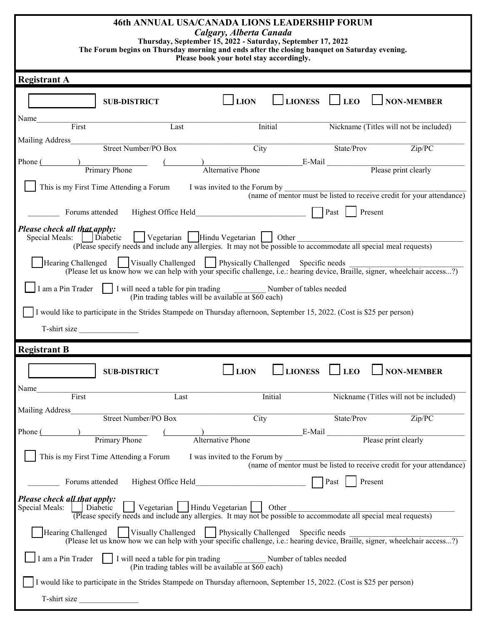## **46th ANNUAL USA/CANADA LIONS LEADERSHIP FORUM**

| 40th ANNUAL USA/CANADA LIUNS LEADERSHIP FURUM<br>Calgary, Alberta Canada<br>Thursday, September 15, 2022 - Saturday, September 17, 2022<br>The Forum begins on Thursday morning and ends after the closing banquet on Saturday evening.<br>Please book your hotel stay accordingly.                                                  |                                                                                                                                                                        |                               |                             |                                        |                                                                       |  |  |  |  |  |
|--------------------------------------------------------------------------------------------------------------------------------------------------------------------------------------------------------------------------------------------------------------------------------------------------------------------------------------|------------------------------------------------------------------------------------------------------------------------------------------------------------------------|-------------------------------|-----------------------------|----------------------------------------|-----------------------------------------------------------------------|--|--|--|--|--|
| <b>Registrant A</b>                                                                                                                                                                                                                                                                                                                  |                                                                                                                                                                        |                               |                             |                                        |                                                                       |  |  |  |  |  |
|                                                                                                                                                                                                                                                                                                                                      | <b>SUB-DISTRICT</b>                                                                                                                                                    | $\Box$ LION                   | <b>LIONESS</b>              | $\Box$ LEO                             | <b>NON-MEMBER</b>                                                     |  |  |  |  |  |
| Name<br>First                                                                                                                                                                                                                                                                                                                        | Last                                                                                                                                                                   |                               | <b>Initial</b>              | Nickname (Titles will not be included) |                                                                       |  |  |  |  |  |
| Mailing Address                                                                                                                                                                                                                                                                                                                      | Street Number/PO Box                                                                                                                                                   | City                          |                             | State/Prov                             | $\overline{\text{Zip/PC}}$                                            |  |  |  |  |  |
| Phone (Primary Phone                                                                                                                                                                                                                                                                                                                 |                                                                                                                                                                        |                               | E-Mail Please print clearly |                                        |                                                                       |  |  |  |  |  |
|                                                                                                                                                                                                                                                                                                                                      |                                                                                                                                                                        | Alternative Phone             |                             |                                        |                                                                       |  |  |  |  |  |
|                                                                                                                                                                                                                                                                                                                                      | This is my First Time Attending a Forum                                                                                                                                |                               |                             |                                        | (name of mentor must be listed to receive credit for your attendance) |  |  |  |  |  |
|                                                                                                                                                                                                                                                                                                                                      |                                                                                                                                                                        |                               |                             |                                        | Present                                                               |  |  |  |  |  |
| Please check all that apply:<br>Special Meals:   Diabetic                                                                                                                                                                                                                                                                            | Vegetarian       Hindu Vegetarian     Other                                                                                                                            |                               |                             |                                        |                                                                       |  |  |  |  |  |
| (Please specify needs and include any allergies. It may not be possible to accommodate all special meal requests)<br>Hearing Challenged   Visually Challenged   Physically Challenged Specific needs<br>(Please let us know how we can help with your specific challenge, i.e.: hearing device, Braille, signer, wheelchair access?) |                                                                                                                                                                        |                               |                             |                                        |                                                                       |  |  |  |  |  |
| I am a Pin Trader   I will need a table for pin trading Number of tables needed<br>(Pin trading tables will be available at \$60 each)                                                                                                                                                                                               |                                                                                                                                                                        |                               |                             |                                        |                                                                       |  |  |  |  |  |
|                                                                                                                                                                                                                                                                                                                                      | I would like to participate in the Strides Stampede on Thursday afternoon, September 15, 2022. (Cost is \$25 per person)                                               |                               |                             |                                        |                                                                       |  |  |  |  |  |
|                                                                                                                                                                                                                                                                                                                                      | T-shirt size                                                                                                                                                           |                               |                             |                                        |                                                                       |  |  |  |  |  |
| <b>Registrant B</b>                                                                                                                                                                                                                                                                                                                  |                                                                                                                                                                        |                               |                             |                                        |                                                                       |  |  |  |  |  |
|                                                                                                                                                                                                                                                                                                                                      |                                                                                                                                                                        |                               |                             |                                        |                                                                       |  |  |  |  |  |
|                                                                                                                                                                                                                                                                                                                                      | <b>SUB-DISTRICT</b>                                                                                                                                                    | LION                          | <b>LIONESS</b>              | <b>LEO</b>                             | <b>NON-MEMBER</b>                                                     |  |  |  |  |  |
| Name<br>First                                                                                                                                                                                                                                                                                                                        | Last                                                                                                                                                                   |                               | Initial                     |                                        | Nickname (Titles will not be included)                                |  |  |  |  |  |
| <b>Mailing Address</b>                                                                                                                                                                                                                                                                                                               | <b>Street Number/PO Box</b>                                                                                                                                            | $\overline{City}$             |                             | State/Prov                             | $\overline{\mathrm{Zip/PC}}$                                          |  |  |  |  |  |
| Phone (                                                                                                                                                                                                                                                                                                                              | Primary Phone                                                                                                                                                          | <b>Alternative Phone</b>      |                             |                                        | E-Mail Please print clearly                                           |  |  |  |  |  |
|                                                                                                                                                                                                                                                                                                                                      | This is my First Time Attending a Forum                                                                                                                                | I was invited to the Forum by |                             |                                        |                                                                       |  |  |  |  |  |
|                                                                                                                                                                                                                                                                                                                                      |                                                                                                                                                                        |                               |                             |                                        | (name of mentor must be listed to receive credit for your attendance) |  |  |  |  |  |
|                                                                                                                                                                                                                                                                                                                                      | Forums attended                                                                                                                                                        |                               |                             | Past                                   | Present                                                               |  |  |  |  |  |
| Please check all that apply:<br>Special Meals:                                                                                                                                                                                                                                                                                       | Vegetarian   Hindu Vegetarian   Other<br>Diabetic<br>(Please specify needs and include any allergies. It may not be possible to accommodate all special meal requests) |                               |                             |                                        |                                                                       |  |  |  |  |  |
| Hearing Challenged   Visually Challenged   Physically Challenged Specific needs<br>(Please let us know how we can help with your specific challenge, i.e.: hearing device, Braille, signer, wheelchair access?)                                                                                                                      |                                                                                                                                                                        |                               |                             |                                        |                                                                       |  |  |  |  |  |
| I am a Pin Trader                                                                                                                                                                                                                                                                                                                    | I will need a table for pin trading<br>(Pin trading tables will be available at \$60 each)                                                                             |                               | Number of tables needed     |                                        |                                                                       |  |  |  |  |  |
|                                                                                                                                                                                                                                                                                                                                      | I would like to participate in the Strides Stampede on Thursday afternoon, September 15, 2022. (Cost is \$25 per person)                                               |                               |                             |                                        |                                                                       |  |  |  |  |  |
| T-shirt size                                                                                                                                                                                                                                                                                                                         |                                                                                                                                                                        |                               |                             |                                        |                                                                       |  |  |  |  |  |